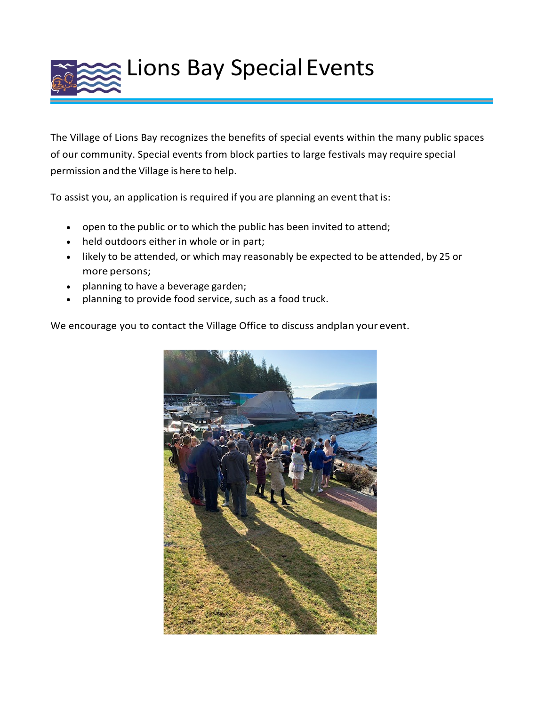

The Village of Lions Bay recognizes the benefits of special events within the many public spaces of our community. Special events from block parties to large festivals may require special permission and the Village is here to help.

To assist you, an application is required if you are planning an event that is:

- open to the public or to which the public has been invited to attend;
- held outdoors either in whole or in part;
- likely to be attended, or which may reasonably be expected to be attended, by 25 or more persons;
- planning to have a beverage garden;
- planning to provide food service, such as a food truck.

We encourage you to contact the Village Office to discuss andplan your event.

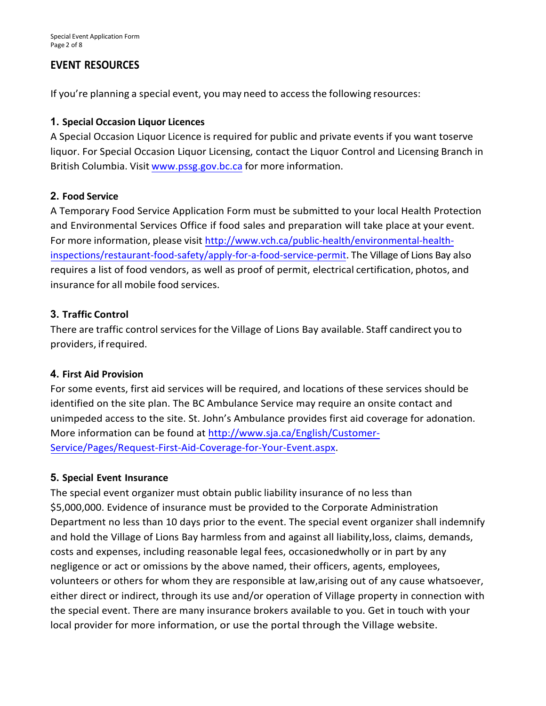# **EVENT RESOURCES**

If you're planning a special event, you may need to access the following resources:

# **1. Special Occasion Liquor Licences**

A Special Occasion Liquor Licence is required for public and private events if you want toserve liquor. For Special Occasion Liquor Licensing, contact the Liquor Control and Licensing Branch in British Columbia. Visit [www.pssg.gov.bc.ca](http://www.pssg.gov.bc.ca/) for more information.

# **2. Food Service**

A Temporary Food Service Application Form must be submitted to your local Health Protection and Environmental Services Office if food sales and preparation will take place at your event. For more information, please visit [http://www.vch.ca/public-health/environmental-health](http://www.vch.ca/public-health/environmental-health-inspections/restaurant-food-safety/apply-for-a-food-service-permit)[inspections/restaurant-food-safety/apply-for-a-food-service-permit](http://www.vch.ca/public-health/environmental-health-inspections/restaurant-food-safety/apply-for-a-food-service-permit). The Village of Lions Bay also requires a list of food vendors, as well as proof of permit, electrical certification, photos, and insurance for all mobile food services.

# **3. Traffic Control**

There are traffic control services for the Village of Lions Bay available. Staff candirect you to providers, ifrequired.

# **4. First Aid Provision**

For some events, first aid services will be required, and locations of these services should be identified on the site plan. The BC Ambulance Service may require an onsite contact and unimpeded access to the site. St. John's Ambulance provides first aid coverage for adonation. More information can be found at [http://www.sja.ca/English/Customer-](http://www.sja.ca/English/Customer-Service/Pages/Request-First-Aid-Coverage-for-Your-Event.aspx)[Service/Pages/Request-First-Aid-Coverage-for-Your-Event.aspx.](http://www.sja.ca/English/Customer-Service/Pages/Request-First-Aid-Coverage-for-Your-Event.aspx)

# **5. Special Event Insurance**

The special event organizer must obtain public liability insurance of no less than \$5,000,000. Evidence of insurance must be provided to the Corporate Administration Department no less than 10 days prior to the event. The special event organizer shall indemnify and hold the Village of Lions Bay harmless from and against all liability,loss, claims, demands, costs and expenses, including reasonable legal fees, occasionedwholly or in part by any negligence or act or omissions by the above named, their officers, agents, employees, volunteers or others for whom they are responsible at law,arising out of any cause whatsoever, either direct or indirect, through its use and/or operation of Village property in connection with the special event. There are many insurance brokers available to you. Get in touch with your local provider for more information, or use the portal through the Village website.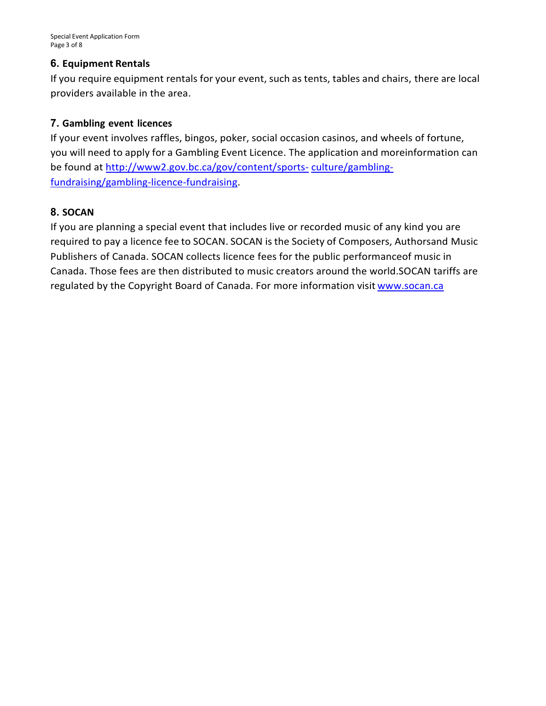# **6. Equipment Rentals**

If you require equipment rentals for your event, such as tents, tables and chairs, there are local providers available in the area.

# **7. Gambling event licences**

If your event involves raffles, bingos, poker, social occasion casinos, and wheels of fortune, you will need to apply for a Gambling Event Licence. The application and moreinformation can be found at [http://www2.gov.bc.ca/gov/content/sports-](http://www2.gov.bc.ca/gov/content/sports-culture/gambling-fundraising/gambling-licence-fundraising) [culture/gambling](http://www2.gov.bc.ca/gov/content/sports-culture/gambling-fundraising/gambling-licence-fundraising)[fundraising/gambling-licence-fundraising.](http://www2.gov.bc.ca/gov/content/sports-culture/gambling-fundraising/gambling-licence-fundraising)

# **8. SOCAN**

If you are planning a special event that includes live or recorded music of any kind you are required to pay a licence fee to SOCAN. SOCAN is the Society of Composers, Authorsand Music Publishers of Canada. SOCAN collects licence fees for the public performanceof music in Canada. Those fees are then distributed to music creators around the world.SOCAN tariffs are regulated by the Copyright Board of Canada. For more information visit [www.socan.ca](http://www.socan.ca/)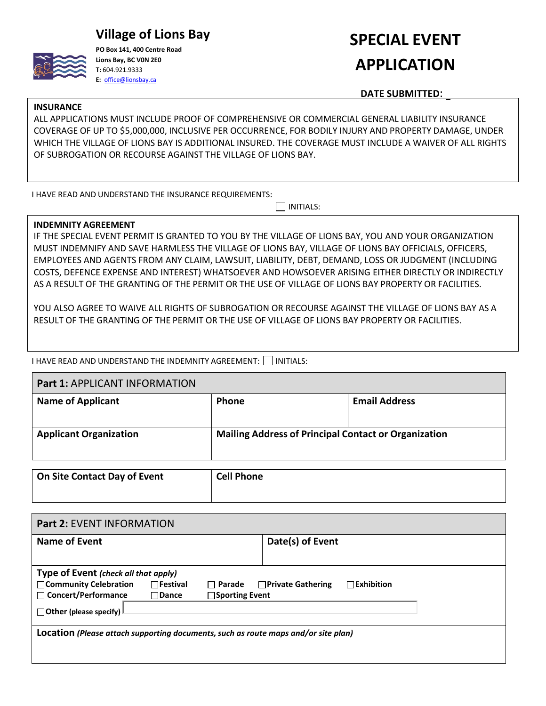# **Village of Lions Bay**



**PO Box 141, 400 Centre Road Lions Bay, BC V0N 2E0 T:** 604.921.9333 **E:** [office@lionsbay.ca](mailto:office@lionsbay.ca)

# **SPECIAL EVENT APPLICATION**

**DATE SUBMITTED**:

#### **INSURANCE**

ALL APPLICATIONS MUST INCLUDE PROOF OF COMPREHENSIVE OR COMMERCIAL GENERAL LIABILITY INSURANCE COVERAGE OF UP TO \$5,000,000, INCLUSIVE PER OCCURRENCE, FOR BODILY INJURY AND PROPERTY DAMAGE, UNDER WHICH THE VILLAGE OF LIONS BAY IS ADDITIONAL INSURED. THE COVERAGE MUST INCLUDE A WAIVER OF ALL RIGHTS OF SUBROGATION OR RECOURSE AGAINST THE VILLAGE OF LIONS BAY.

I HAVE READ AND UNDERSTAND THE INSURANCE REQUIREMENTS:

 $\Box$  INITIALS:

## **INDEMNITY AGREEMENT**

IF THE SPECIAL EVENT PERMIT IS GRANTED TO YOU BY THE VILLAGE OF LIONS BAY, YOU AND YOUR ORGANIZATION MUST INDEMNIFY AND SAVE HARMLESS THE VILLAGE OF LIONS BAY, VILLAGE OF LIONS BAY OFFICIALS, OFFICERS, EMPLOYEES AND AGENTS FROM ANY CLAIM, LAWSUIT, LIABILITY, DEBT, DEMAND, LOSS OR JUDGMENT (INCLUDING COSTS, DEFENCE EXPENSE AND INTEREST) WHATSOEVER AND HOWSOEVER ARISING EITHER DIRECTLY OR INDIRECTLY AS A RESULT OF THE GRANTING OF THE PERMIT OR THE USE OF VILLAGE OF LIONS BAY PROPERTY OR FACILITIES.

YOU ALSO AGREE TO WAIVE ALL RIGHTS OF SUBROGATION OR RECOURSE AGAINST THE VILLAGE OF LIONS BAY AS A RESULT OF THE GRANTING OF THE PERMIT OR THE USE OF VILLAGE OF LIONS BAY PROPERTY OR FACILITIES.

I HAVE READ AND UNDERSTAND THE INDEMNITY AGREEMENT: INITIALS:

| <b>Part 1: APPLICANT INFORMATION</b> |                                                             |                      |  |
|--------------------------------------|-------------------------------------------------------------|----------------------|--|
| <b>Name of Applicant</b>             | <b>Phone</b>                                                | <b>Email Address</b> |  |
| <b>Applicant Organization</b>        | <b>Mailing Address of Principal Contact or Organization</b> |                      |  |
|                                      |                                                             |                      |  |

| On Site Contact Day of Event | <b>Cell Phone</b> |
|------------------------------|-------------------|
|                              |                   |

| <b>Part 2: EVENT INFORMATION</b>                                                   |                                      |                       |                          |                   |  |
|------------------------------------------------------------------------------------|--------------------------------------|-----------------------|--------------------------|-------------------|--|
| <b>Name of Event</b>                                                               |                                      |                       | Date(s) of Event         |                   |  |
|                                                                                    |                                      |                       |                          |                   |  |
|                                                                                    | Type of Event (check all that apply) |                       |                          |                   |  |
| □ Community Celebration                                                            | $\Box$ Festival                      | $\Box$ Parade         | $\Box$ Private Gathering | $\Box$ Exhibition |  |
| $\Box$ Concert/Performance                                                         | $\Box$ Dance                         | $\Box$ Sporting Event |                          |                   |  |
| $\Box$ Other (please specify)                                                      |                                      |                       |                          |                   |  |
| Location (Please attach supporting documents, such as route maps and/or site plan) |                                      |                       |                          |                   |  |
|                                                                                    |                                      |                       |                          |                   |  |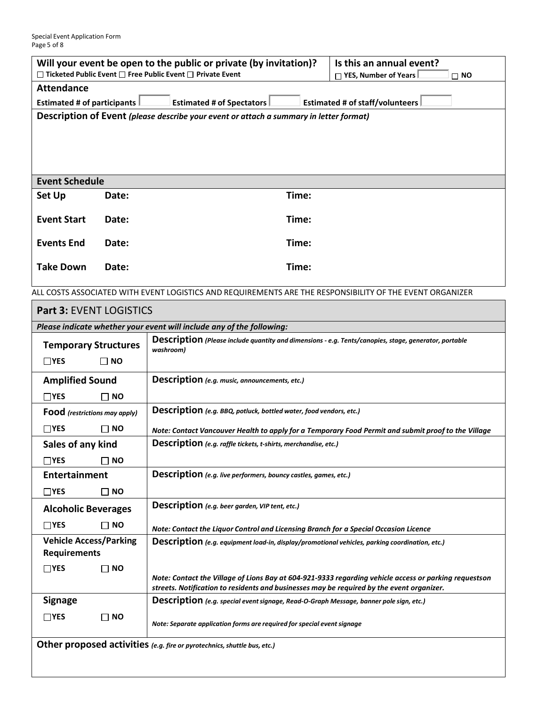| Will your event be open to the public or private (by invitation)?                                        |                                    | Is this an annual event?            |                                 |
|----------------------------------------------------------------------------------------------------------|------------------------------------|-------------------------------------|---------------------------------|
| $\Box$ Ticketed Public Event $\Box$ Free Public Event $\Box$ Private Event                               |                                    | □ YES, Number of Years<br>$\Box$ NO |                                 |
| <b>Attendance</b>                                                                                        |                                    |                                     |                                 |
| <b>Estimated # of participants</b>                                                                       | <b>Estimated # of Spectators  </b> |                                     | Estimated # of staff/volunteers |
| Description of Event (please describe your event or attach a summary in letter format)                   |                                    |                                     |                                 |
|                                                                                                          |                                    |                                     |                                 |
| <b>Event Schedule</b>                                                                                    |                                    |                                     |                                 |
| Set Up                                                                                                   | Date:                              | Time:                               |                                 |
| <b>Event Start</b>                                                                                       | Date:                              | Time:                               |                                 |
| <b>Events End</b>                                                                                        | Date:                              | Time:                               |                                 |
| <b>Take Down</b>                                                                                         | Date:                              | Time:                               |                                 |
| ALL COSTS ASSOCIATED WITH EVENT LOGISTICS AND REQUIREMENTS ARE THE RESPONSIBILITY OF THE EVENT ORGANIZER |                                    |                                     |                                 |

| <b>Part 3: EVENT LOGISTICS</b>                                        |                                                                                                                                                                                                    |  |  |
|-----------------------------------------------------------------------|----------------------------------------------------------------------------------------------------------------------------------------------------------------------------------------------------|--|--|
| Please indicate whether your event will include any of the following: |                                                                                                                                                                                                    |  |  |
| <b>Temporary Structures</b>                                           | Description (Please include quantity and dimensions - e.g. Tents/canopies, stage, generator, portable<br>washroom)                                                                                 |  |  |
| $\Box$ NO<br>$\Box$ YES                                               |                                                                                                                                                                                                    |  |  |
| <b>Amplified Sound</b>                                                | Description (e.g. music, announcements, etc.)                                                                                                                                                      |  |  |
| $\Box$ YES<br><b>NO</b>                                               |                                                                                                                                                                                                    |  |  |
| Food (restrictions may apply)                                         | Description (e.g. BBQ, potluck, bottled water, food vendors, etc.)                                                                                                                                 |  |  |
| $\Box$ YES<br>$\Box$ NO                                               | Note: Contact Vancouver Health to apply for a Temporary Food Permit and submit proof to the Village                                                                                                |  |  |
| Sales of any kind                                                     | Description (e.g. raffle tickets, t-shirts, merchandise, etc.)                                                                                                                                     |  |  |
| $\Box$ YES<br><b>NO</b>                                               |                                                                                                                                                                                                    |  |  |
| <b>Entertainment</b>                                                  | Description (e.g. live performers, bouncy castles, games, etc.)                                                                                                                                    |  |  |
| $\Box$ YES<br>NO.                                                     |                                                                                                                                                                                                    |  |  |
| <b>Alcoholic Beverages</b>                                            | Description (e.g. beer garden, VIP tent, etc.)                                                                                                                                                     |  |  |
| $\Box$ YES<br><b>NO</b>                                               | Note: Contact the Liquor Control and Licensing Branch for a Special Occasion Licence                                                                                                               |  |  |
| <b>Vehicle Access/Parking</b><br><b>Requirements</b>                  | Description (e.g. equipment load-in, display/promotional vehicles, parking coordination, etc.)                                                                                                     |  |  |
| $\sqcap$ YES<br><b>NO</b>                                             | Note: Contact the Village of Lions Bay at 604-921-9333 regarding vehicle access or parking requestson<br>streets. Notification to residents and businesses may be required by the event organizer. |  |  |
| <b>Signage</b>                                                        | Description (e.g. special event signage, Read-O-Graph Message, banner pole sign, etc.)                                                                                                             |  |  |
| $\Box$ YES<br><b>NO</b>                                               | Note: Separate application forms are required for special event signage                                                                                                                            |  |  |
|                                                                       | Other proposed activities (e.g. fire or pyrotechnics, shuttle bus, etc.)                                                                                                                           |  |  |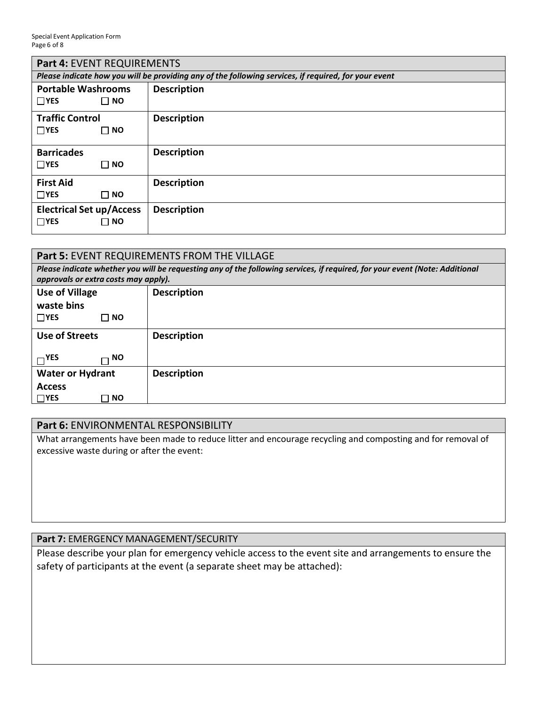| <b>Part 4: EVENT REQUIREMENTS</b> |                                                                                                      |  |  |
|-----------------------------------|------------------------------------------------------------------------------------------------------|--|--|
|                                   | Please indicate how you will be providing any of the following services, if required, for your event |  |  |
| <b>Portable Washrooms</b>         | <b>Description</b>                                                                                   |  |  |
| $\Box$ YES<br>$\Box$ NO           |                                                                                                      |  |  |
| <b>Traffic Control</b>            | <b>Description</b>                                                                                   |  |  |
| $\Box$ YES<br>$\sqcap$ NO         |                                                                                                      |  |  |
| <b>Barricades</b>                 | <b>Description</b>                                                                                   |  |  |
| $\Box$ YES<br>$\Box$ NO           |                                                                                                      |  |  |
| <b>First Aid</b>                  | <b>Description</b>                                                                                   |  |  |
| $\Box$ YES<br>$\Box$ NO           |                                                                                                      |  |  |
| <b>Electrical Set up/Access</b>   | <b>Description</b>                                                                                   |  |  |
| $\Box$ YES<br>$\Box$ NO           |                                                                                                      |  |  |

| <b>Part 5: EVENT REQUIREMENTS FROM THE VILLAGE</b>                                                                                                                  |                    |  |
|---------------------------------------------------------------------------------------------------------------------------------------------------------------------|--------------------|--|
| Please indicate whether you will be requesting any of the following services, if required, for your event (Note: Additional<br>approvals or extra costs may apply). |                    |  |
| <b>Use of Village</b>                                                                                                                                               | <b>Description</b> |  |
| waste bins                                                                                                                                                          |                    |  |
| $\Box$ YES<br>Π NO.                                                                                                                                                 |                    |  |
| <b>Use of Streets</b>                                                                                                                                               | <b>Description</b> |  |
| $\neg$ YES<br>NO.                                                                                                                                                   |                    |  |
| <b>Water or Hydrant</b>                                                                                                                                             | <b>Description</b> |  |
| <b>Access</b>                                                                                                                                                       |                    |  |
| $\Box$ YES<br><b>NO</b>                                                                                                                                             |                    |  |

# **Part 6:** ENVIRONMENTAL RESPONSIBILITY

What arrangements have been made to reduce litter and encourage recycling and composting and for removal of excessive waste during or after the event:

## **Part 7:** EMERGENCY MANAGEMENT/SECURITY

Please describe your plan for emergency vehicle access to the event site and arrangements to ensure the safety of participants at the event (a separate sheet may be attached):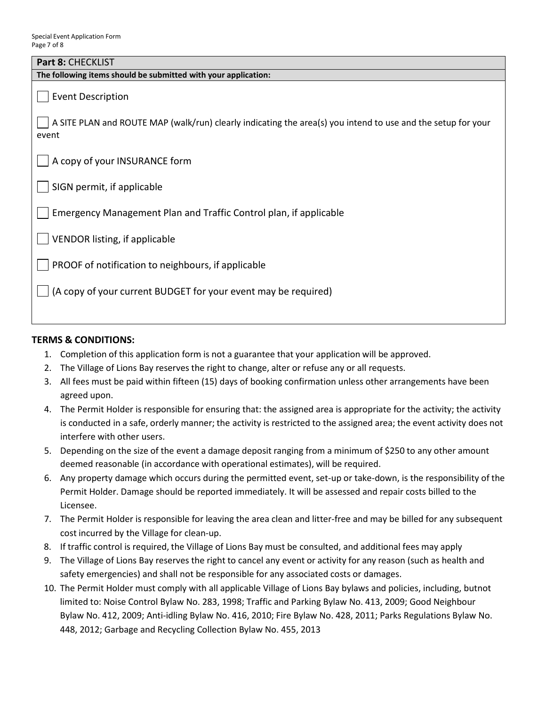| Part 8: CHECKLIST                                                                                                     |
|-----------------------------------------------------------------------------------------------------------------------|
| The following items should be submitted with your application:                                                        |
| <b>Event Description</b>                                                                                              |
| A SITE PLAN and ROUTE MAP (walk/run) clearly indicating the area(s) you intend to use and the setup for your<br>event |
| A copy of your INSURANCE form                                                                                         |
| SIGN permit, if applicable                                                                                            |
| Emergency Management Plan and Traffic Control plan, if applicable                                                     |
| <b>VENDOR listing, if applicable</b>                                                                                  |
| PROOF of notification to neighbours, if applicable                                                                    |
| (A copy of your current BUDGET for your event may be required)                                                        |
|                                                                                                                       |

## **TERMS & CONDITIONS:**

- 1. Completion of this application form is not a guarantee that your application will be approved.
- 2. The Village of Lions Bay reserves the right to change, alter or refuse any or all requests.
- 3. All fees must be paid within fifteen (15) days of booking confirmation unless other arrangements have been agreed upon.
- 4. The Permit Holder is responsible for ensuring that: the assigned area is appropriate for the activity; the activity is conducted in a safe, orderly manner; the activity is restricted to the assigned area; the event activity does not interfere with other users.
- 5. Depending on the size of the event a damage deposit ranging from a minimum of \$250 to any other amount deemed reasonable (in accordance with operational estimates), will be required.
- 6. Any property damage which occurs during the permitted event, set-up or take-down, is the responsibility of the Permit Holder. Damage should be reported immediately. It will be assessed and repair costs billed to the Licensee.
- 7. The Permit Holder is responsible for leaving the area clean and litter-free and may be billed for any subsequent cost incurred by the Village for clean-up.
- 8. If traffic control is required, the Village of Lions Bay must be consulted, and additional fees may apply
- 9. The Village of Lions Bay reserves the right to cancel any event or activity for any reason (such as health and safety emergencies) and shall not be responsible for any associated costs or damages.
- 10. The Permit Holder must comply with all applicable Village of Lions Bay bylaws and policies, including, butnot limited to: Noise Control Bylaw No. 283, 1998; Traffic and Parking Bylaw No. 413, 2009; Good Neighbour Bylaw No. 412, 2009; Anti-idling Bylaw No. 416, 2010; Fire Bylaw No. 428, 2011; Parks Regulations Bylaw No. 448, 2012; Garbage and Recycling Collection Bylaw No. 455, 2013